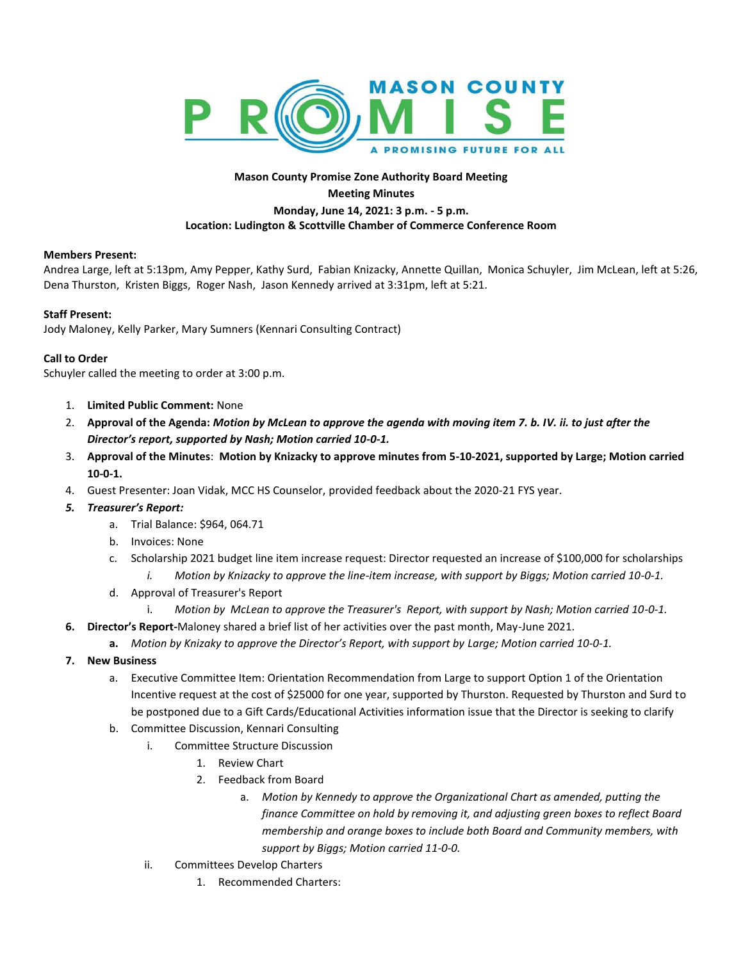

## **Mason County Promise Zone Authority Board Meeting Meeting Minutes Monday, June 14, 2021: 3 p.m. - 5 p.m. Location: Ludington & Scottville Chamber of Commerce Conference Room**

## **Members Present:**

Andrea Large, left at 5:13pm, Amy Pepper, Kathy Surd, Fabian Knizacky, Annette Quillan, Monica Schuyler, Jim McLean, left at 5:26, Dena Thurston, Kristen Biggs, Roger Nash, Jason Kennedy arrived at 3:31pm, left at 5:21.

## **Staff Present:**

Jody Maloney, Kelly Parker, Mary Sumners (Kennari Consulting Contract)

## **Call to Order**

Schuyler called the meeting to order at 3:00 p.m.

- 1. **Limited Public Comment:** None
- 2. **Approval of the Agenda:** *Motion by McLean to approve the agenda with moving item 7. b. IV. ii. to just after the Director's report, supported by Nash; Motion carried 10-0-1.*
- 3. **Approval of the Minutes**: **Motion by Knizacky to approve minutes from 5-10-2021, supported by Large; Motion carried 10-0-1.**
- 4. Guest Presenter: Joan Vidak, MCC HS Counselor, provided feedback about the 2020-21 FYS year.
- *5. Treasurer's Report:* 
	- a. Trial Balance: \$964, 064.71
	- b. Invoices: None
	- c. Scholarship 2021 budget line item increase request: Director requested an increase of \$100,000 for scholarships *i. Motion by Knizacky to approve the line-item increase, with support by Biggs; Motion carried 10-0-1.*
	- d. Approval of Treasurer's Report
		- i. *Motion by McLean to approve the Treasurer's Report, with support by Nash; Motion carried 10-0-1.*
- **6. Director's Report-**Maloney shared a brief list of her activities over the past month, May-June 2021.
	- **a.** *Motion by Knizaky to approve the Director's Report, with support by Large; Motion carried 10-0-1.*
- **7. New Business**
	- a. Executive Committee Item: Orientation Recommendation from Large to support Option 1 of the Orientation Incentive request at the cost of \$25000 for one year, supported by Thurston. Requested by Thurston and Surd to be postponed due to a Gift Cards/Educational Activities information issue that the Director is seeking to clarify
	- b. Committee Discussion, Kennari Consulting
		- i. Committee Structure Discussion
			- 1. Review Chart
			- 2. Feedback from Board
				- a. *Motion by Kennedy to approve the Organizational Chart as amended, putting the finance Committee on hold by removing it, and adjusting green boxes to reflect Board membership and orange boxes to include both Board and Community members, with support by Biggs; Motion carried 11-0-0.*
		- ii. Committees Develop Charters
			- 1. Recommended Charters: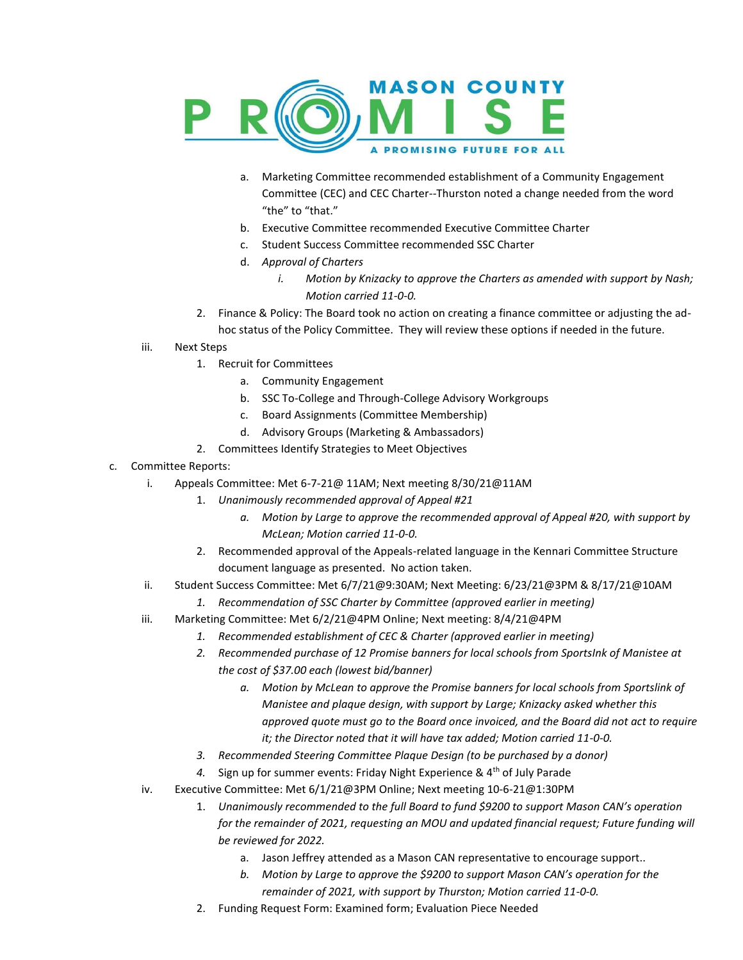

- a. Marketing Committee recommended establishment of a Community Engagement Committee (CEC) and CEC Charter--Thurston noted a change needed from the word "the" to "that."
- b. Executive Committee recommended Executive Committee Charter
- c. Student Success Committee recommended SSC Charter
- d. *Approval of Charters*
	- *i. Motion by Knizacky to approve the Charters as amended with support by Nash; Motion carried 11-0-0.*
- 2. Finance & Policy: The Board took no action on creating a finance committee or adjusting the adhoc status of the Policy Committee. They will review these options if needed in the future.
- iii. Next Steps
	- 1. Recruit for Committees
		- a. Community Engagement
		- b. SSC To-College and Through-College Advisory Workgroups
		- c. Board Assignments (Committee Membership)
		- d. Advisory Groups (Marketing & Ambassadors)
	- 2. Committees Identify Strategies to Meet Objectives
- c. Committee Reports:
	- i. Appeals Committee: Met 6-7-21@ 11AM; Next meeting 8/30/21@11AM
		- 1. *Unanimously recommended approval of Appeal #21*
			- *a. Motion by Large to approve the recommended approval of Appeal #20, with support by McLean; Motion carried 11-0-0.*
			- 2. Recommended approval of the Appeals-related language in the Kennari Committee Structure document language as presented. No action taken.
	- ii. Student Success Committee: Met 6/7/21@9:30AM; Next Meeting: 6/23/21@3PM & 8/17/21@10AM
		- *1. Recommendation of SSC Charter by Committee (approved earlier in meeting)*
	- iii. Marketing Committee: Met 6/2/21@4PM Online; Next meeting: 8/4/21@4PM
		- *1. Recommended establishment of CEC & Charter (approved earlier in meeting)*
		- *2. Recommended purchase of 12 Promise banners for local schools from SportsInk of Manistee at the cost of \$37.00 each (lowest bid/banner)*
			- *a. Motion by McLean to approve the Promise banners for local schools from Sportslink of Manistee and plaque design, with support by Large; Knizacky asked whether this approved quote must go to the Board once invoiced, and the Board did not act to require it; the Director noted that it will have tax added; Motion carried 11-0-0.*
		- *3. Recommended Steering Committee Plaque Design (to be purchased by a donor)*
		- 4. Sign up for summer events: Friday Night Experience & 4<sup>th</sup> of July Parade
	- iv. Executive Committee: Met 6/1/21@3PM Online; Next meeting 10-6-21@1:30PM
		- 1. *Unanimously recommended to the full Board to fund \$9200 to support Mason CAN's operation for the remainder of 2021, requesting an MOU and updated financial request; Future funding will be reviewed for 2022.* 
			- a. Jason Jeffrey attended as a Mason CAN representative to encourage support..
			- *b. Motion by Large to approve the \$9200 to support Mason CAN's operation for the remainder of 2021, with support by Thurston; Motion carried 11-0-0.*
		- 2. Funding Request Form: Examined form; Evaluation Piece Needed